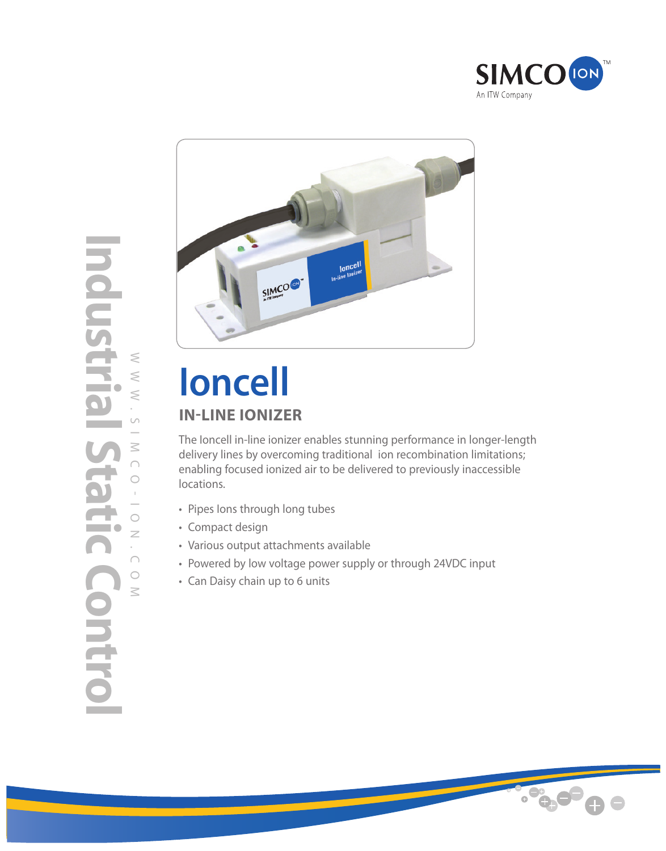



# **Ioncell IN-LINE IONIZER**

The Ioncell in-line ionizer enables stunning performance in longer-length delivery lines by overcoming traditional ion recombination limitations; enabling focused ionized air to be delivered to previously inaccessible locations.

- Pipes Ions through long tubes
- Compact design
- Various output attachments available
- Powered by low voltage power supply or through 24VDC input
- Can Daisy chain up to 6 units